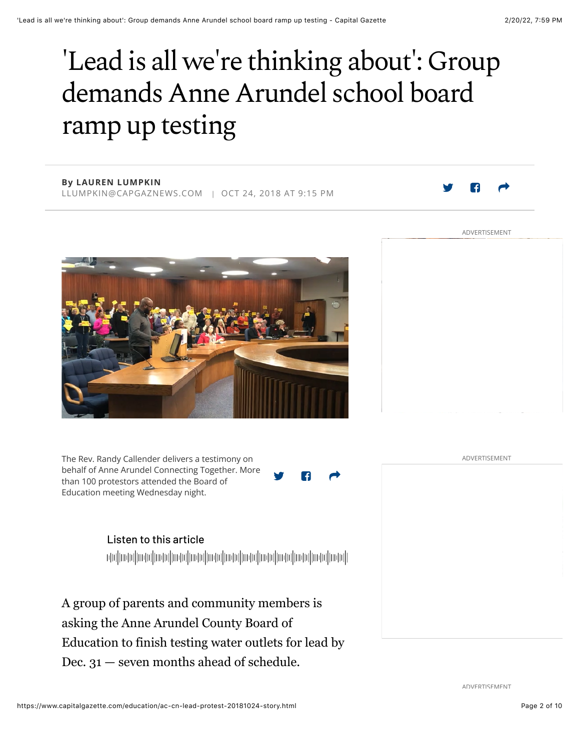# 'Lead is all we're thinking about': Group demands Anne Arundel school board ramp up testing

### **By LAUREN LUMPKIN**

LLUMPKIN@CAPGAZNEWS.COM | OCT 24, 2018 AT 9:15 PM



ADVERTISEMENT



The Rev. Randy Callender delivers a testimony on behalf of Anne Arundel Connecting Together. More than 100 protestors attended the Board of Education meeting Wednesday night.

Listen to this article

A group of parents and community members is asking the Anne Arundel County Board of Education to finish testing water outlets for lead by Dec. 31 — seven months ahead of schedule.

ADVERTISEMENT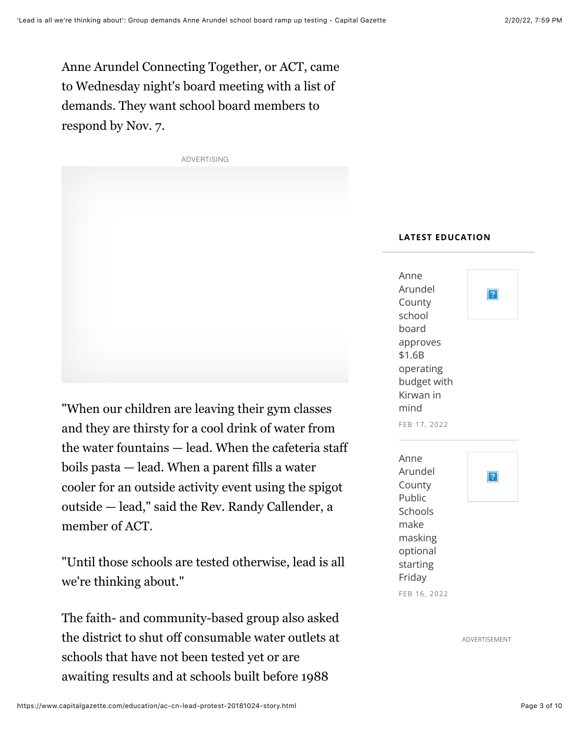Anne Arundel Connecting Together, or ACT, came to Wednesday night's board meeting with a list of demands. They want school board members to respond by Nov. 7.



"When our children are leaving their gym classes and they are thirsty for a cool drink of water from the water fountains — lead. When the cafeteria staff boils pasta — lead. When a parent fills a water cooler for an outside activity event using the spigot outside — lead," said the Rev. Randy Callender, a member of ACT.

"Until those schools are tested otherwise, lead is all we're thinking about."

The faith- and community-based group also asked the district to shut off consumable water outlets at schools that have not been tested yet or are awaiting results and at schools built before 1988

#### **LATEST EDUCATION**

| Anne<br>Arundel<br>County<br>school<br>board<br>approves<br>\$1.6B<br>operating<br>budget with<br>Kirwan in<br>mind<br>FEB 17, 2022 | ? |
|-------------------------------------------------------------------------------------------------------------------------------------|---|
| Anne<br>Arundel<br>County<br>Public<br>Schools<br>make<br>masking<br>optional<br>starting<br>Friday<br>FEB 16, 2022                 | ? |

ADVERTISEMENT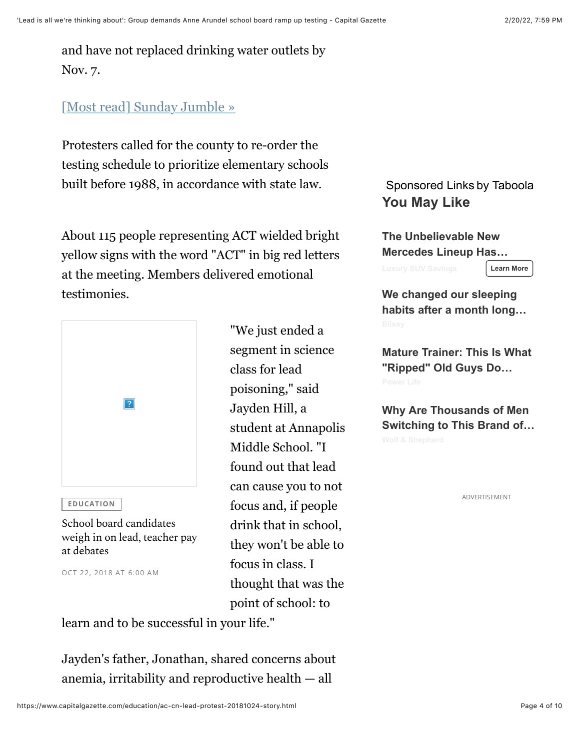and have not replaced drinking water outlets by Nov. 7.

# [Most read] Sunday Jumble »

Protesters called for the county to re-order the testing schedule to prioritize elementary schools built before 1988, in accordance with state law.

About 115 people representing ACT wielded bright yellow signs with the word "ACT" in big red letters at the meeting. Members delivered emotional testimonies.



**EDUCATION** 

School board candidates weigh in on lead, teacher pay at debates

OCT 22, 2018 AT 6:00 AM

"We just ended a segment in science class for lead poisoning," said Jayden Hill, a student at Annapolis Middle School. "I found out that lead can cause you to not focus and, if people drink that in school, they won't be able to focus in class. I thought that was the point of school: to

learn and to be successful in your life."

Jayden's father, Jonathan, shared concerns about anemia, irritability and reproductive health — all

## Sponsored Links by Taboola **You May Like**

**The Unbelievable New Mercedes Lineup Has…**

**Learn More**

**We changed our sleeping habits after a month long…**

**Mature Trainer: This Is What "Ripped" Old Guys Do…**

**Why Are Thousands of Men Switching to This Brand of…**

ADVERTISEMENT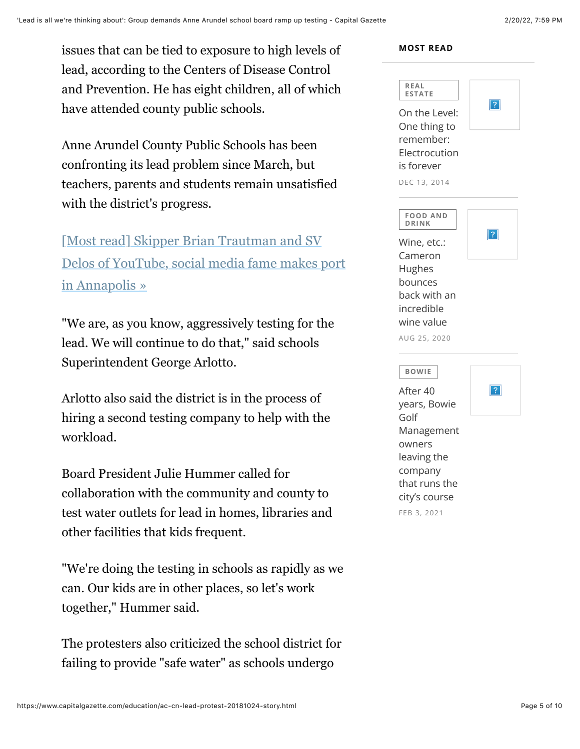issues that can be tied to exposure to high levels of lead, according to the Centers of Disease Control and Prevention. He has eight children, all of which have attended county public schools.

Anne Arundel County Public Schools has been confronting its lead problem since March, but teachers, parents and students remain unsatisfied with the district's progress.

[Most read] Skipper Brian Trautman and SV Delos of YouTube, social media fame makes port in Annapolis »

"We are, as you know, aggressively testing for the lead. We will continue to do that," said schools Superintendent George Arlotto.

Arlotto also said the district is in the process of hiring a second testing company to help with the workload.

Board President Julie Hummer called for collaboration with the community and county to test water outlets for lead in homes, libraries and other facilities that kids frequent.

"We're doing the testing in schools as rapidly as we can. Our kids are in other places, so let's work together," Hummer said.

The protesters also criticized the school district for failing to provide "safe water" as schools undergo

#### **MOST READ**

| REAL<br><b>ESTATE</b><br>On the Level:<br>One thing to<br>remember:<br>Electrocution<br>is forever<br>DEC 13, 2014                                  | $\overline{?}$ |
|-----------------------------------------------------------------------------------------------------------------------------------------------------|----------------|
| <b>FOOD AND</b><br><b>DRINK</b><br>Wine, etc.:<br>Cameron<br>Hughes<br>bounces<br>back with an<br>incredible<br>wine value<br>AUG 25, 2020          |                |
| <b>BOWIE</b><br>After 40<br>years, Bowie<br>Golf<br>Management<br>owners<br>leaving the<br>company<br>that runs the<br>city's course<br>FEB 3, 2021 | $\mathcal{P}$  |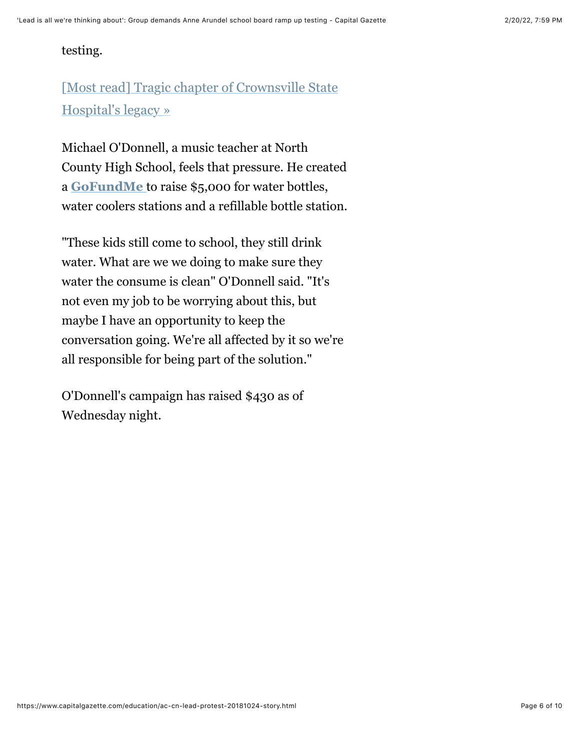### testing.

# [Most read] Tragic chapter of Crownsville State Hospital's legacy »

Michael O'Donnell, a music teacher at North County High School, feels that pressure. He created a **GoFundMe** to raise \$5,000 for water bottles, water coolers stations and a refillable bottle station.

"These kids still come to school, they still drink water. What are we we doing to make sure they water the consume is clean" O'Donnell said. "It's not even my job to be worrying about this, but maybe I have an opportunity to keep the conversation going. We're all affected by it so we're all responsible for being part of the solution."

O'Donnell's campaign has raised \$430 as of Wednesday night.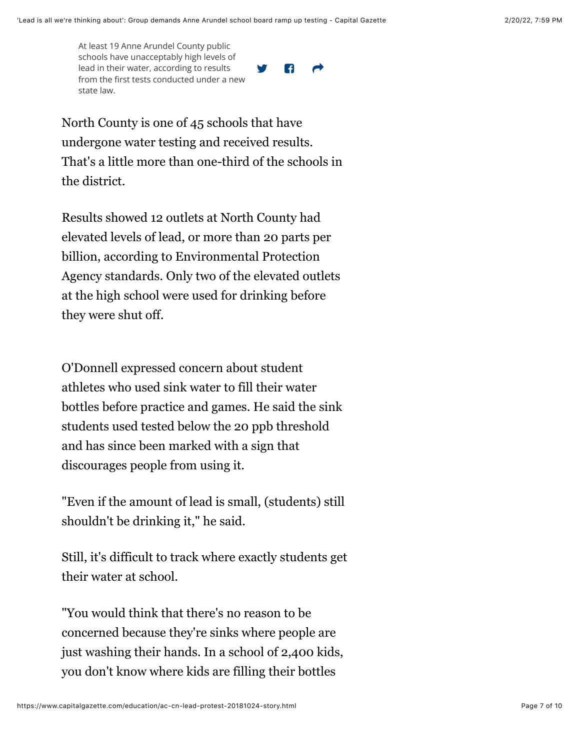At least 19 Anne Arundel County public schools have unacceptably high levels of lead in their water, according to results from the first tests conducted under a new state law.

**V P** 

North County is one of 45 schools that have undergone water testing and received results. That's a little more than one-third of the schools in the district.

Results showed 12 outlets at North County had elevated levels of lead, or more than 20 parts per billion, according to Environmental Protection Agency standards. Only two of the elevated outlets at the high school were used for drinking before they were shut off.

O'Donnell expressed concern about student athletes who used sink water to fill their water bottles before practice and games. He said the sink students used tested below the 20 ppb threshold and has since been marked with a sign that discourages people from using it.

"Even if the amount of lead is small, (students) still shouldn't be drinking it," he said.

Still, it's difficult to track where exactly students get their water at school.

"You would think that there's no reason to be concerned because they're sinks where people are just washing their hands. In a school of 2,400 kids, you don't know where kids are filling their bottles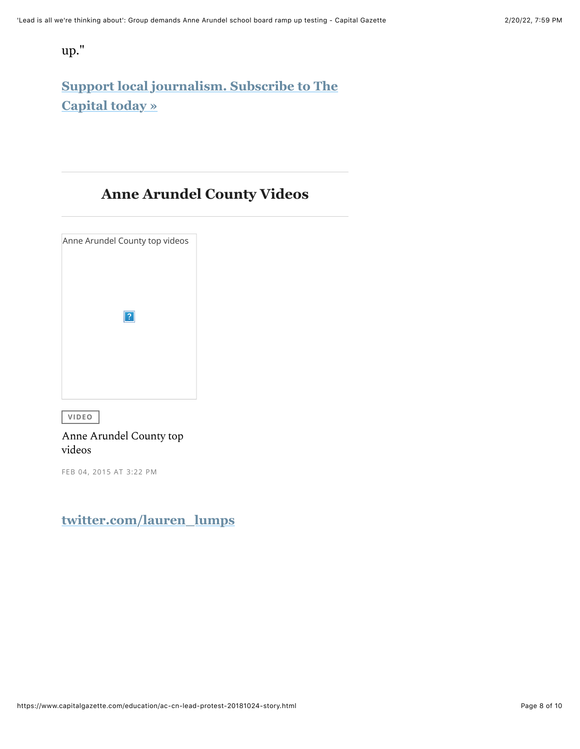up."

# **Support local journalism. Subscribe to The Capital today »**

# **Anne Arundel County Videos**

| Anne Arundel County top videos |  |
|--------------------------------|--|
|                                |  |
|                                |  |
| ?                              |  |
|                                |  |
|                                |  |
|                                |  |

 $VIDEO$ 

#### Anne Arundel County top videos

FEB 04, 2015 AT 3:22 PM

# **twitter.com/lauren\_lumps**